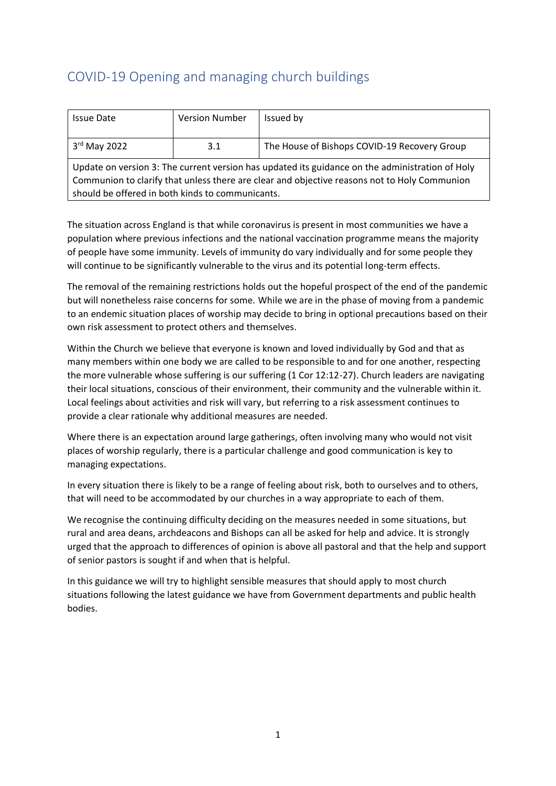# COVID-19 Opening and managing church buildings

| <b>Issue Date</b>                                                                               | <b>Version Number</b> | Issued by                                    |
|-------------------------------------------------------------------------------------------------|-----------------------|----------------------------------------------|
|                                                                                                 |                       |                                              |
| $3rd$ May 2022                                                                                  | 3.1                   | The House of Bishops COVID-19 Recovery Group |
| Update on version 3: The current version has updated its guidance on the administration of Holy |                       |                                              |
| Communion to clarify that unless there are clear and objective reasons not to Holy Communion    |                       |                                              |
| should be offered in both kinds to communicants.                                                |                       |                                              |

The situation across England is that while coronavirus is present in most communities we have a population where previous infections and the national vaccination programme means the majority of people have some immunity. Levels of immunity do vary individually and for some people they will continue to be significantly vulnerable to the virus and its potential long-term effects.

The removal of the remaining restrictions holds out the hopeful prospect of the end of the pandemic but will nonetheless raise concerns for some. While we are in the phase of moving from a pandemic to an endemic situation places of worship may decide to bring in optional precautions based on their own risk assessment to protect others and themselves.

Within the Church we believe that everyone is known and loved individually by God and that as many members within one body we are called to be responsible to and for one another, respecting the more vulnerable whose suffering is our suffering (1 Cor 12:12-27). Church leaders are navigating their local situations, conscious of their environment, their community and the vulnerable within it. Local feelings about activities and risk will vary, but referring to a risk assessment continues to provide a clear rationale why additional measures are needed.

Where there is an expectation around large gatherings, often involving many who would not visit places of worship regularly, there is a particular challenge and good communication is key to managing expectations.

In every situation there is likely to be a range of feeling about risk, both to ourselves and to others, that will need to be accommodated by our churches in a way appropriate to each of them.

We recognise the continuing difficulty deciding on the measures needed in some situations, but rural and area deans, archdeacons and Bishops can all be asked for help and advice. It is strongly urged that the approach to differences of opinion is above all pastoral and that the help and support of senior pastors is sought if and when that is helpful.

In this guidance we will try to highlight sensible measures that should apply to most church situations following the latest guidance we have from Government departments and public health bodies.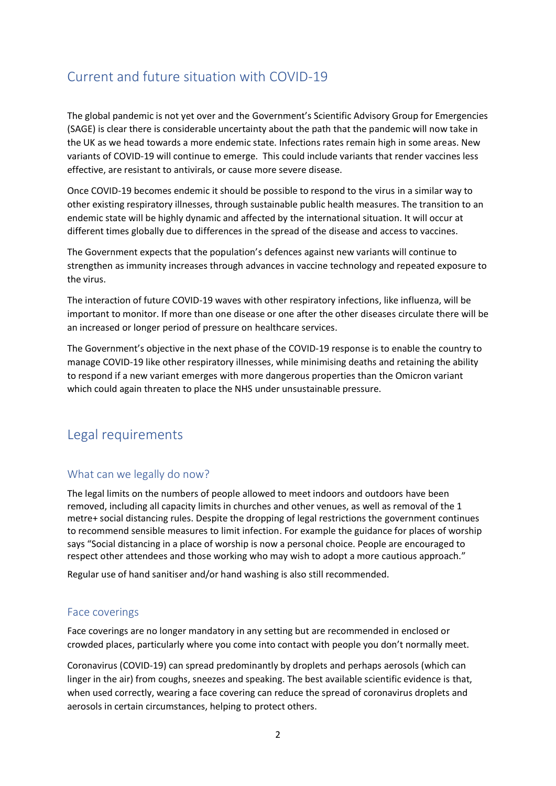# Current and future situation with COVID-19

The global pandemic is not yet over and the Government's Scientific Advisory Group for Emergencies (SAGE) is clear there is considerable uncertainty about the path that the pandemic will now take in the UK as we head towards a more endemic state. Infections rates remain high in some areas. New variants of COVID-19 will continue to emerge. This could include variants that render vaccines less effective, are resistant to antivirals, or cause more severe disease.

Once COVID-19 becomes endemic it should be possible to respond to the virus in a similar way to other existing respiratory illnesses, through sustainable public health measures. The transition to an endemic state will be highly dynamic and affected by the international situation. It will occur at different times globally due to differences in the spread of the disease and access to vaccines.

The Government expects that the population's defences against new variants will continue to strengthen as immunity increases through advances in vaccine technology and repeated exposure to the virus.

The interaction of future COVID-19 waves with other respiratory infections, like influenza, will be important to monitor. If more than one disease or one after the other diseases circulate there will be an increased or longer period of pressure on healthcare services.

The Government's objective in the next phase of the COVID-19 response is to enable the country to manage COVID-19 like other respiratory illnesses, while minimising deaths and retaining the ability to respond if a new variant emerges with more dangerous properties than the Omicron variant which could again threaten to place the NHS under unsustainable pressure.

# Legal requirements

## What can we legally do now?

The legal limits on the numbers of people allowed to meet indoors and outdoors have been removed, including all capacity limits in churches and other venues, as well as removal of the 1 metre+ social distancing rules. Despite the dropping of legal restrictions the government continues to recommend sensible measures to limit infection. For example the guidance for places of worship says "Social distancing in a place of worship is now a personal choice. People are encouraged to respect other attendees and those working who may wish to adopt a more cautious approach."

Regular use of hand sanitiser and/or hand washing is also still recommended.

## Face coverings

Face coverings are no longer mandatory in any setting but are recommended in enclosed or crowded places, particularly where you come into contact with people you don't normally meet.

Coronavirus (COVID-19) can spread predominantly by droplets and perhaps aerosols (which can linger in the air) from coughs, sneezes and speaking. The best available scientific evidence is that, when used correctly, wearing a face covering can reduce the spread of coronavirus droplets and aerosols in certain circumstances, helping to protect others.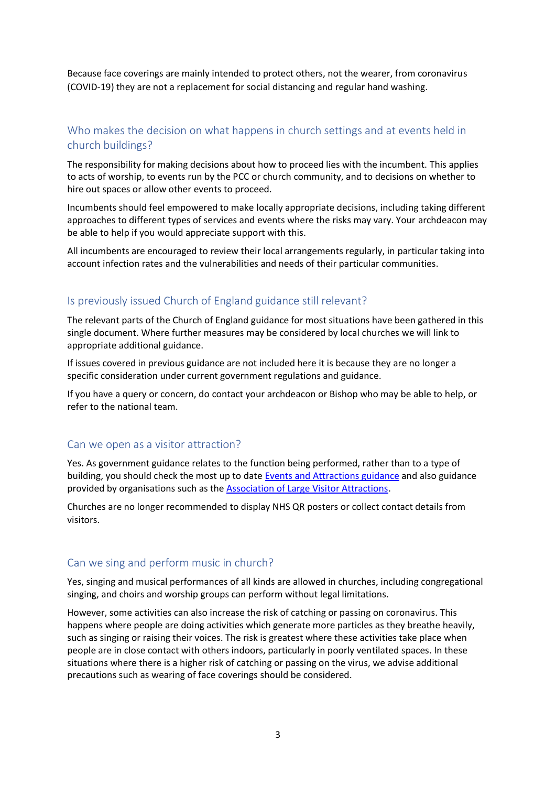Because face coverings are mainly intended to protect others, not the wearer, from coronavirus (COVID-19) they are not a replacement for social distancing and regular hand washing.

# Who makes the decision on what happens in church settings and at events held in church buildings?

The responsibility for making decisions about how to proceed lies with the incumbent. This applies to acts of worship, to events run by the PCC or church community, and to decisions on whether to hire out spaces or allow other events to proceed.

Incumbents should feel empowered to make locally appropriate decisions, including taking different approaches to different types of services and events where the risks may vary. Your archdeacon may be able to help if you would appreciate support with this.

All incumbents are encouraged to review their local arrangements regularly, in particular taking into account infection rates and the vulnerabilities and needs of their particular communities.

## Is previously issued Church of England guidance still relevant?

The relevant parts of the Church of England guidance for most situations have been gathered in this single document. Where further measures may be considered by local churches we will link to appropriate additional guidance.

If issues covered in previous guidance are not included here it is because they are no longer a specific consideration under current government regulations and guidance.

If you have a query or concern, do contact your archdeacon or Bishop who may be able to help, or refer to the national team.

### Can we open as a visitor attraction?

Yes. As government guidance relates to the function being performed, rather than to a type of building, you should check the most up to date [Events and Attractions guidance](https://www.gov.uk/guidance/working-safely-during-covid-19/events-and-attractions) and also guidance provided by organisations such as the [Association of Large Visitor Attractions.](https://www.alva.org.uk/index.cfm)

Churches are no longer recommended to display NHS QR posters or collect contact details from visitors.

### Can we sing and perform music in church?

Yes, singing and musical performances of all kinds are allowed in churches, including congregational singing, and choirs and worship groups can perform without legal limitations.

However, some activities can also increase the risk of catching or passing on coronavirus. This happens where people are doing activities which generate more particles as they breathe heavily, such as singing or raising their voices. The risk is greatest where these activities take place when people are in close contact with others indoors, particularly in poorly ventilated spaces. In these situations where there is a higher risk of catching or passing on the virus, we advise additional precautions such as wearing of face coverings should be considered.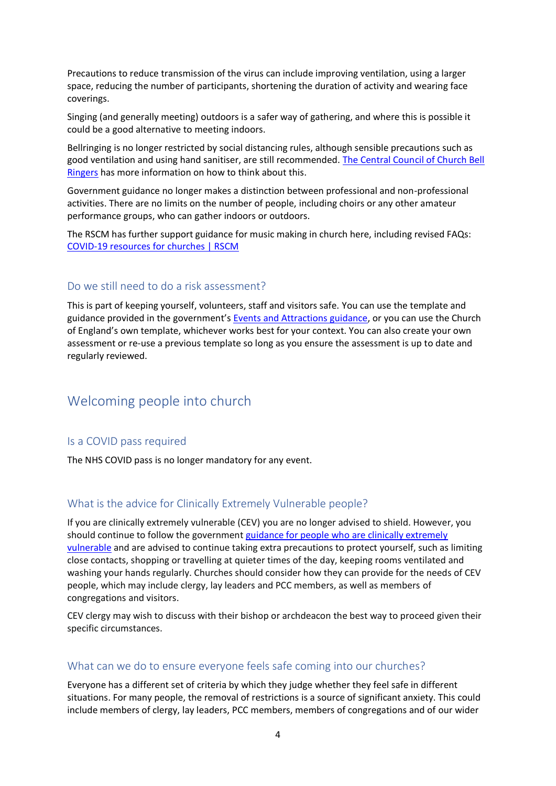Precautions to reduce transmission of the virus can include improving ventilation, using a larger space, reducing the number of participants, shortening the duration of activity and wearing face coverings.

Singing (and generally meeting) outdoors is a safer way of gathering, and where this is possible it could be a good alternative to meeting indoors.

Bellringing is no longer restricted by social distancing rules, although sensible precautions such as good ventilation and using hand sanitiser, are still recommended. [The Central Council of Church Bell](https://cccbr.org.uk/)  [Ringers](https://cccbr.org.uk/) has more information on how to think about this.

Government guidance no longer makes a distinction between professional and non-professional activities. There are no limits on the number of people, including choirs or any other amateur performance groups, who can gather indoors or outdoors.

The RSCM has further support guidance for music making in church here, including revised FAQs: COVID-19 [resources for churches | RSCM](https://eur02.safelinks.protection.outlook.com/?url=https%3A%2F%2Fwww.rscm.org.uk%2Fcovid-19-resources-for-churches%2F%3Fhighlight%3Dcovid&data=04%7C01%7Cmark.betson%40churchofengland.org%7Cbb3f1a185487407bf55708d9483eb231%7C95e2463b3ab047b49ac1587c77ee84f0%7C0%7C0%7C637620256411945495%7CUnknown%7CTWFpbGZsb3d8eyJWIjoiMC4wLjAwMDAiLCJQIjoiV2luMzIiLCJBTiI6Ik1haWwiLCJXVCI6Mn0%3D%7C1000&sdata=Umb%2FqBvmldcFqn%2FKIEUqCMjziSLldnEgag7zS3kInGI%3D&reserved=0)

### Do we still need to do a risk assessment?

This is part of keeping yourself, volunteers, staff and visitors safe. You can use the template and guidance provided in the government's [Events and Attractions guidance,](https://www.gov.uk/guidance/working-safely-during-covid-19/events-and-attractions) or you can use the Church of England's own template, whichever works best for your context. You can also create your own assessment or re-use a previous template so long as you ensure the assessment is up to date and regularly reviewed.

# Welcoming people into church

### Is a COVID pass required

The NHS COVID pass is no longer mandatory for any event.

### What is the advice for Clinically Extremely Vulnerable people?

If you are clinically extremely vulnerable (CEV) you are no longer advised to shield. However, you should continue to follow the government guidance for people who are clinically extremely [vulnerable](https://www.gov.uk/government/publications/guidance-on-shielding-and-protecting-extremely-vulnerable-persons-from-covid-19/19-july-guidance-on-protecting-people-who-are-clinically-extremely-vulnerable-from-covid-19) and are advised to continue taking extra precautions to protect yourself, such as limiting close contacts, shopping or travelling at quieter times of the day, keeping rooms ventilated and washing your hands regularly. Churches should consider how they can provide for the needs of CEV people, which may include clergy, lay leaders and PCC members, as well as members of congregations and visitors.

CEV clergy may wish to discuss with their bishop or archdeacon the best way to proceed given their specific circumstances.

### What can we do to ensure everyone feels safe coming into our churches?

Everyone has a different set of criteria by which they judge whether they feel safe in different situations. For many people, the removal of restrictions is a source of significant anxiety. This could include members of clergy, lay leaders, PCC members, members of congregations and of our wider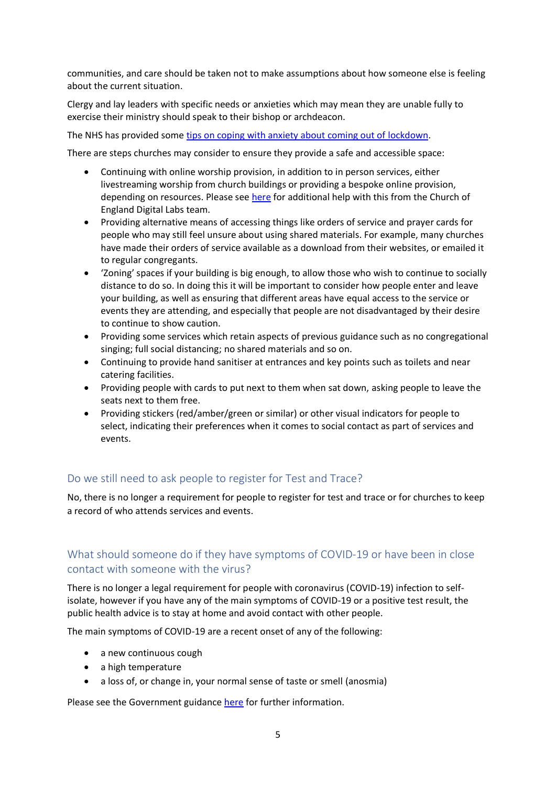communities, and care should be taken not to make assumptions about how someone else is feeling about the current situation.

Clergy and lay leaders with specific needs or anxieties which may mean they are unable fully to exercise their ministry should speak to their bishop or archdeacon.

The NHS has provided som[e tips on coping with anxiety about coming out of](https://www.nhs.uk/every-mind-matters/coronavirus/tips-to-cope-with-anxiety-lockdown-lifting/) lockdown.

There are steps churches may consider to ensure they provide a safe and accessible space:

- Continuing with online worship provision, in addition to in person services, either livestreaming worship from church buildings or providing a bespoke online provision, depending on resources. Please see [here](https://www.churchofengland.org/resources/church-england-digital-labs) for additional help with this from the Church of England Digital Labs team.
- Providing alternative means of accessing things like orders of service and prayer cards for people who may still feel unsure about using shared materials. For example, many churches have made their orders of service available as a download from their websites, or emailed it to regular congregants.
- 'Zoning' spaces if your building is big enough, to allow those who wish to continue to socially distance to do so. In doing this it will be important to consider how people enter and leave your building, as well as ensuring that different areas have equal access to the service or events they are attending, and especially that people are not disadvantaged by their desire to continue to show caution.
- Providing some services which retain aspects of previous guidance such as no congregational singing; full social distancing; no shared materials and so on.
- Continuing to provide hand sanitiser at entrances and key points such as toilets and near catering facilities.
- Providing people with cards to put next to them when sat down, asking people to leave the seats next to them free.
- Providing stickers (red/amber/green or similar) or other visual indicators for people to select, indicating their preferences when it comes to social contact as part of services and events.

## Do we still need to ask people to register for Test and Trace?

No, there is no longer a requirement for people to register for test and trace or for churches to keep a record of who attends services and events.

# What should someone do if they have symptoms of COVID-19 or have been in close contact with someone with the virus?

There is no longer a legal requirement for people with coronavirus (COVID-19) infection to selfisolate, however if you have any of the main symptoms of COVID-19 or a positive test result, the public health advice is to stay at home and avoid contact with other people.

The main symptoms of COVID-19 are a recent onset of any of the following:

- a new continuous cough
- a high temperature
- a loss of, or change in, your normal sense of taste or smell (anosmia)

Please see the Government guidance [here](https://www.gov.uk/government/publications/covid-19-people-with-covid-19-and-their-contacts/covid-19-people-with-covid-19-and-their-contacts) for further information.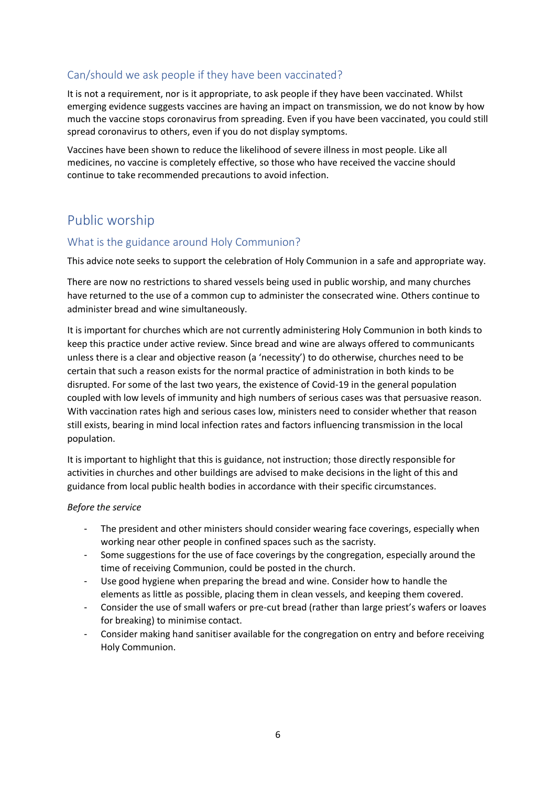# Can/should we ask people if they have been vaccinated?

It is not a requirement, nor is it appropriate, to ask people if they have been vaccinated. Whilst emerging evidence suggests vaccines are having an impact on transmission, we do not know by how much the vaccine stops coronavirus from spreading. Even if you have been vaccinated, you could still spread coronavirus to others, even if you do not display symptoms.

Vaccines have been shown to reduce the likelihood of severe illness in most people. Like all medicines, no vaccine is completely effective, so those who have received the vaccine should continue to take recommended precautions to avoid infection.

# Public worship

## What is the guidance around Holy Communion?

This advice note seeks to support the celebration of Holy Communion in a safe and appropriate way.

There are now no restrictions to shared vessels being used in public worship, and many churches have returned to the use of a common cup to administer the consecrated wine. Others continue to administer bread and wine simultaneously.

It is important for churches which are not currently administering Holy Communion in both kinds to keep this practice under active review. Since bread and wine are always offered to communicants unless there is a clear and objective reason (a 'necessity') to do otherwise, churches need to be certain that such a reason exists for the normal practice of administration in both kinds to be disrupted. For some of the last two years, the existence of Covid-19 in the general population coupled with low levels of immunity and high numbers of serious cases was that persuasive reason. With vaccination rates high and serious cases low, ministers need to consider whether that reason still exists, bearing in mind local infection rates and factors influencing transmission in the local population.

It is important to highlight that this is guidance, not instruction; those directly responsible for activities in churches and other buildings are advised to make decisions in the light of this and guidance from local public health bodies in accordance with their specific circumstances.

#### *Before the service*

- The president and other ministers should consider wearing face coverings, especially when working near other people in confined spaces such as the sacristy.
- Some suggestions for the use of face coverings by the congregation, especially around the time of receiving Communion, could be posted in the church.
- Use good hygiene when preparing the bread and wine. Consider how to handle the elements as little as possible, placing them in clean vessels, and keeping them covered.
- Consider the use of small wafers or pre-cut bread (rather than large priest's wafers or loaves for breaking) to minimise contact.
- Consider making hand sanitiser available for the congregation on entry and before receiving Holy Communion.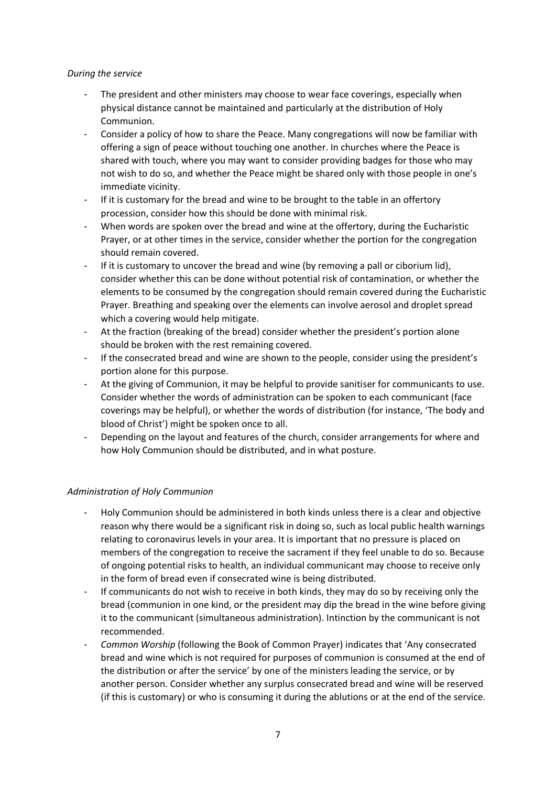#### *During the service*

- The president and other ministers may choose to wear face coverings, especially when physical distance cannot be maintained and particularly at the distribution of Holy Communion.
- Consider a policy of how to share the Peace. Many congregations will now be familiar with offering a sign of peace without touching one another. In churches where the Peace is shared with touch, where you may want to consider providing badges for those who may not wish to do so, and whether the Peace might be shared only with those people in one's immediate vicinity.
- If it is customary for the bread and wine to be brought to the table in an offertory procession, consider how this should be done with minimal risk.
- When words are spoken over the bread and wine at the offertory, during the Eucharistic Prayer, or at other times in the service, consider whether the portion for the congregation should remain covered.
- If it is customary to uncover the bread and wine (by removing a pall or ciborium lid), consider whether this can be done without potential risk of contamination, or whether the elements to be consumed by the congregation should remain covered during the Eucharistic Prayer. Breathing and speaking over the elements can involve aerosol and droplet spread which a covering would help mitigate.
- At the fraction (breaking of the bread) consider whether the president's portion alone should be broken with the rest remaining covered.
- If the consecrated bread and wine are shown to the people, consider using the president's portion alone for this purpose.
- At the giving of Communion, it may be helpful to provide sanitiser for communicants to use. Consider whether the words of administration can be spoken to each communicant (face coverings may be helpful), or whether the words of distribution (for instance, 'The body and blood of Christ') might be spoken once to all.
- Depending on the layout and features of the church, consider arrangements for where and how Holy Communion should be distributed, and in what posture.

### *Administration of Holy Communion*

- Holy Communion should be administered in both kinds unless there is a clear and objective reason why there would be a significant risk in doing so, such as local public health warnings relating to coronavirus levels in your area. It is important that no pressure is placed on members of the congregation to receive the sacrament if they feel unable to do so. Because of ongoing potential risks to health, an individual communicant may choose to receive only in the form of bread even if consecrated wine is being distributed.
- If communicants do not wish to receive in both kinds, they may do so by receiving only the bread (communion in one kind, or the president may dip the bread in the wine before giving it to the communicant (simultaneous administration). Intinction by the communicant is not recommended.
- *Common Worship* (following the Book of Common Prayer) indicates that 'Any consecrated bread and wine which is not required for purposes of communion is consumed at the end of the distribution or after the service' by one of the ministers leading the service, or by another person. Consider whether any surplus consecrated bread and wine will be reserved (if this is customary) or who is consuming it during the ablutions or at the end of the service.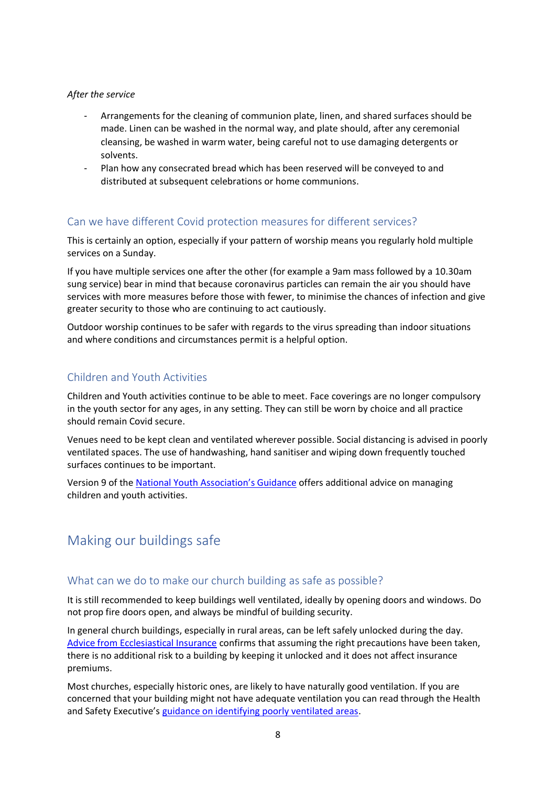#### *After the service*

- Arrangements for the cleaning of communion plate, linen, and shared surfaces should be made. Linen can be washed in the normal way, and plate should, after any ceremonial cleansing, be washed in warm water, being careful not to use damaging detergents or solvents.
- Plan how any consecrated bread which has been reserved will be conveyed to and distributed at subsequent celebrations or home communions.

### Can we have different Covid protection measures for different services?

This is certainly an option, especially if your pattern of worship means you regularly hold multiple services on a Sunday.

If you have multiple services one after the other (for example a 9am mass followed by a 10.30am sung service) bear in mind that because coronavirus particles can remain the air you should have services with more measures before those with fewer, to minimise the chances of infection and give greater security to those who are continuing to act cautiously.

Outdoor worship continues to be safer with regards to the virus spreading than indoor situations and where conditions and circumstances permit is a helpful option.

## Children and Youth Activities

Children and Youth activities continue to be able to meet. Face coverings are no longer compulsory in the youth sector for any ages, in any setting. They can still be worn by choice and all practice should remain Covid secure.

Venues need to be kept clean and ventilated wherever possible. Social distancing is advised in poorly ventilated spaces. The use of handwashing, hand sanitiser and wiping down frequently touched surfaces continues to be important.

Version 9 of the [National Youth Association's Guidance](https://s3.eu-west-1.amazonaws.com/assets.nya2.joltrouter.net/wp-content/uploads/20211202112116/1224-NYA-COVID-19-Guidance-v9.pdf) offers additional advice on managing children and youth activities.

# Making our buildings safe

### What can we do to make our church building as safe as possible?

It is still recommended to keep buildings well ventilated, ideally by opening doors and windows. Do not prop fire doors open, and always be mindful of building security.

In general church buildings, especially in rural areas, can be left safely unlocked during the day. [Advice from Ecclesiastical Insurance](https://www.ecclesiastical.com/risk-management/open-churches/) confirms that assuming the right precautions have been taken, there is no additional risk to a building by keeping it unlocked and it does not affect insurance premiums.

Most churches, especially historic ones, are likely to have naturally good ventilation. If you are concerned that your building might not have adequate ventilation you can read through the Health and Safety Executive's [guidance on identifying poorly ventilated areas.](https://www.hse.gov.uk/coronavirus/equipment-and-machinery/air-conditioning-and-ventilation/identifying-poorly-ventilated-areas.htm)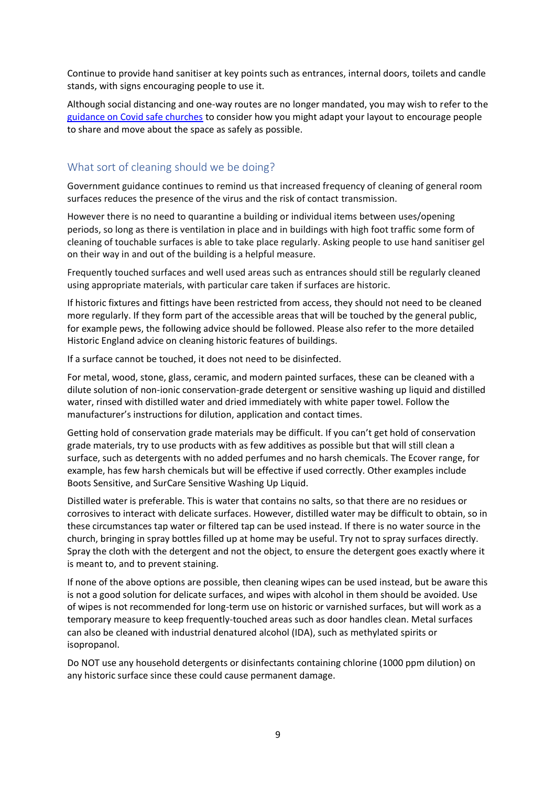Continue to provide hand sanitiser at key points such as entrances, internal doors, toilets and candle stands, with signs encouraging people to use it.

Although social distancing and one-way routes are no longer mandated, you may wish to refer to the [guidance on Covid safe churches](https://www.churchofengland.org/sites/default/files/2020-07/Covid-19%20Safer%20Churches_0.pdf) to consider how you might adapt your layout to encourage people to share and move about the space as safely as possible.

## What sort of cleaning should we be doing?

Government guidance continues to remind us that increased frequency of cleaning of general room surfaces reduces the presence of the virus and the risk of contact transmission.

However there is no need to quarantine a building or individual items between uses/opening periods, so long as there is ventilation in place and in buildings with high foot traffic some form of cleaning of touchable surfaces is able to take place regularly. Asking people to use hand sanitiser gel on their way in and out of the building is a helpful measure.

Frequently touched surfaces and well used areas such as entrances should still be regularly cleaned using appropriate materials, with particular care taken if surfaces are historic.

If historic fixtures and fittings have been restricted from access, they should not need to be cleaned more regularly. If they form part of the accessible areas that will be touched by the general public, for example pews, the following advice should be followed. Please also refer to the more detailed Historic England advice on cleaning historic features of buildings.

If a surface cannot be touched, it does not need to be disinfected.

For metal, wood, stone, glass, ceramic, and modern painted surfaces, these can be cleaned with a dilute solution of non-ionic conservation-grade detergent or sensitive washing up liquid and distilled water, rinsed with distilled water and dried immediately with white paper towel. Follow the manufacturer's instructions for dilution, application and contact times.

Getting hold of conservation grade materials may be difficult. If you can't get hold of conservation grade materials, try to use products with as few additives as possible but that will still clean a surface, such as detergents with no added perfumes and no harsh chemicals. The Ecover range, for example, has few harsh chemicals but will be effective if used correctly. Other examples include Boots Sensitive, and SurCare Sensitive Washing Up Liquid.

Distilled water is preferable. This is water that contains no salts, so that there are no residues or corrosives to interact with delicate surfaces. However, distilled water may be difficult to obtain, so in these circumstances tap water or filtered tap can be used instead. If there is no water source in the church, bringing in spray bottles filled up at home may be useful. Try not to spray surfaces directly. Spray the cloth with the detergent and not the object, to ensure the detergent goes exactly where it is meant to, and to prevent staining.

If none of the above options are possible, then cleaning wipes can be used instead, but be aware this is not a good solution for delicate surfaces, and wipes with alcohol in them should be avoided. Use of wipes is not recommended for long-term use on historic or varnished surfaces, but will work as a temporary measure to keep frequently-touched areas such as door handles clean. Metal surfaces can also be cleaned with industrial denatured alcohol (IDA), such as methylated spirits or isopropanol.

Do NOT use any household detergents or disinfectants containing chlorine (1000 ppm dilution) on any historic surface since these could cause permanent damage.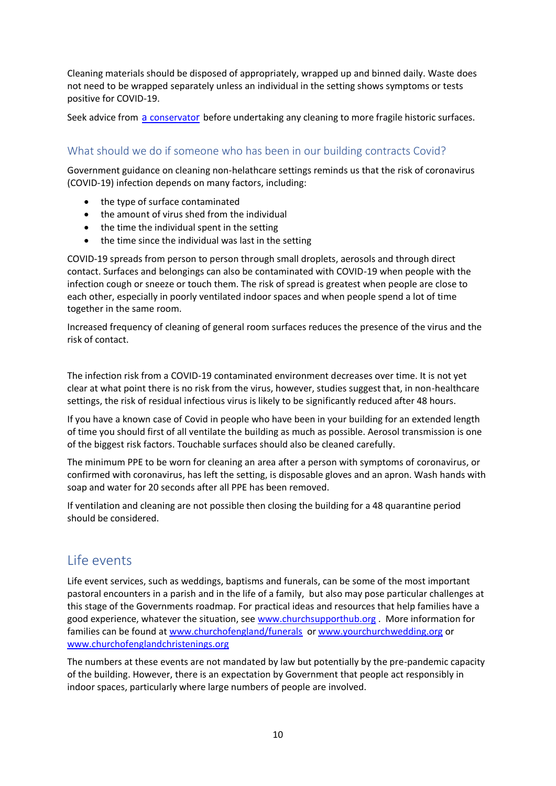Cleaning materials should be disposed of appropriately, wrapped up and binned daily. Waste does not need to be wrapped separately unless an individual in the setting shows symptoms or tests positive for COVID-19.

Seek advice from a [conservato](https://icon.org.uk/icon-resources/caring-for-your-collection)r before undertaking any cleaning to more fragile historic surfaces.

## What should we do if someone who has been in our building contracts Covid?

Government guidance on cleaning non-helathcare settings reminds us that the risk of coronavirus (COVID-19) infection depends on many factors, including:

- the type of surface contaminated
- the amount of virus shed from the individual
- the time the individual spent in the setting
- the time since the individual was last in the setting

COVID-19 spreads from person to person through small droplets, aerosols and through direct contact. Surfaces and belongings can also be contaminated with COVID-19 when people with the infection cough or sneeze or touch them. The risk of spread is greatest when people are close to each other, especially in poorly ventilated indoor spaces and when people spend a lot of time together in the same room.

Increased frequency of cleaning of general room surfaces reduces the presence of the virus and the risk of contact.

The infection risk from a COVID-19 contaminated environment decreases over time. It is not yet clear at what point there is no risk from the virus, however, studies suggest that, in non-healthcare settings, the risk of residual infectious virus is likely to be significantly reduced after 48 hours.

If you have a known case of Covid in people who have been in your building for an extended length of time you should first of all ventilate the building as much as possible. Aerosol transmission is one of the biggest risk factors. Touchable surfaces should also be cleaned carefully.

The minimum PPE to be worn for cleaning an area after a person with symptoms of coronavirus, or confirmed with coronavirus, has left the setting, is disposable gloves and an apron. Wash hands with soap and water for 20 seconds after all PPE has been removed.

If ventilation and cleaning are not possible then closing the building for a 48 quarantine period should be considered.

# Life events

Life event services, such as weddings, baptisms and funerals, can be some of the most important pastoral encounters in a parish and in the life of a family, but also may pose particular challenges at this stage of the Governments roadmap. For practical ideas and resources that help families have a good experience, whatever the situation, see [www.churchsupporthub.org](http://www.churchsupporthub.org/) . More information for families can be found at [www.churchofengland/funerals](http://www.churchofengland/funerals) or [www.yourchurchwedding.org](http://www.yourchurchwedding.org/) or [www.churchofenglandchristenings.org](http://www.churchofenglandchristenings.org/)

The numbers at these events are not mandated by law but potentially by the pre-pandemic capacity of the building. However, there is an expectation by Government that people act responsibly in indoor spaces, particularly where large numbers of people are involved.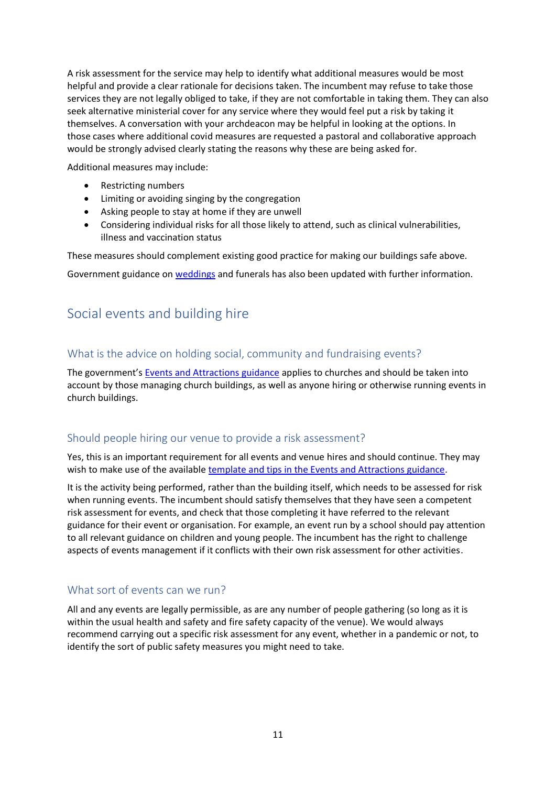A risk assessment for the service may help to identify what additional measures would be most helpful and provide a clear rationale for decisions taken. The incumbent may refuse to take those services they are not legally obliged to take, if they are not comfortable in taking them. They can also seek alternative ministerial cover for any service where they would feel put a risk by taking it themselves. A conversation with your archdeacon may be helpful in looking at the options. In those cases where additional covid measures are requested a pastoral and collaborative approach would be strongly advised clearly stating the reasons why these are being asked for.

Additional measures may include:

- Restricting numbers
- Limiting or avoiding singing by the congregation
- Asking people to stay at home if they are unwell
- Considering individual risks for all those likely to attend, such as clinical vulnerabilities, illness and vaccination status

These measures should complement existing good practice for making our buildings safe above.

Government guidance on [weddings](https://www.gov.uk/guidance/coronavirus-covid-19-wedding-and-civil-partnership-ceremonies-receptions-and-celebrations-guidance-from-step-4?utm_medium=email&utm_campaign=govuk-notifications&utm_source=5cdab0bd-155d-4109-b394-fae60d7c5bc4&utm_content=immediately#summary-of-changes-from-19-july) and funerals has also been updated with further information.

# Social events and building hire

# What is the advice on holding social, community and fundraising events?

The government's [Events and Attractions guidance](https://www.gov.uk/guidance/working-safely-during-covid-19/events-and-attractions) applies to churches and should be taken into account by those managing church buildings, as well as anyone hiring or otherwise running events in church buildings.

## Should people hiring our venue to provide a risk assessment?

Yes, this is an important requirement for all events and venue hires and should continue. They may wish to make use of the available [template and tips in the Events and Attractions guidance.](https://www.gov.uk/guidance/working-safely-during-covid-19/events-and-attractions#risk-1)

It is the activity being performed, rather than the building itself, which needs to be assessed for risk when running events. The incumbent should satisfy themselves that they have seen a competent risk assessment for events, and check that those completing it have referred to the relevant guidance for their event or organisation. For example, an event run by a school should pay attention to all relevant guidance on children and young people. The incumbent has the right to challenge aspects of events management if it conflicts with their own risk assessment for other activities.

## What sort of events can we run?

All and any events are legally permissible, as are any number of people gathering (so long as it is within the usual health and safety and fire safety capacity of the venue). We would always recommend carrying out a specific risk assessment for any event, whether in a pandemic or not, to identify the sort of public safety measures you might need to take.